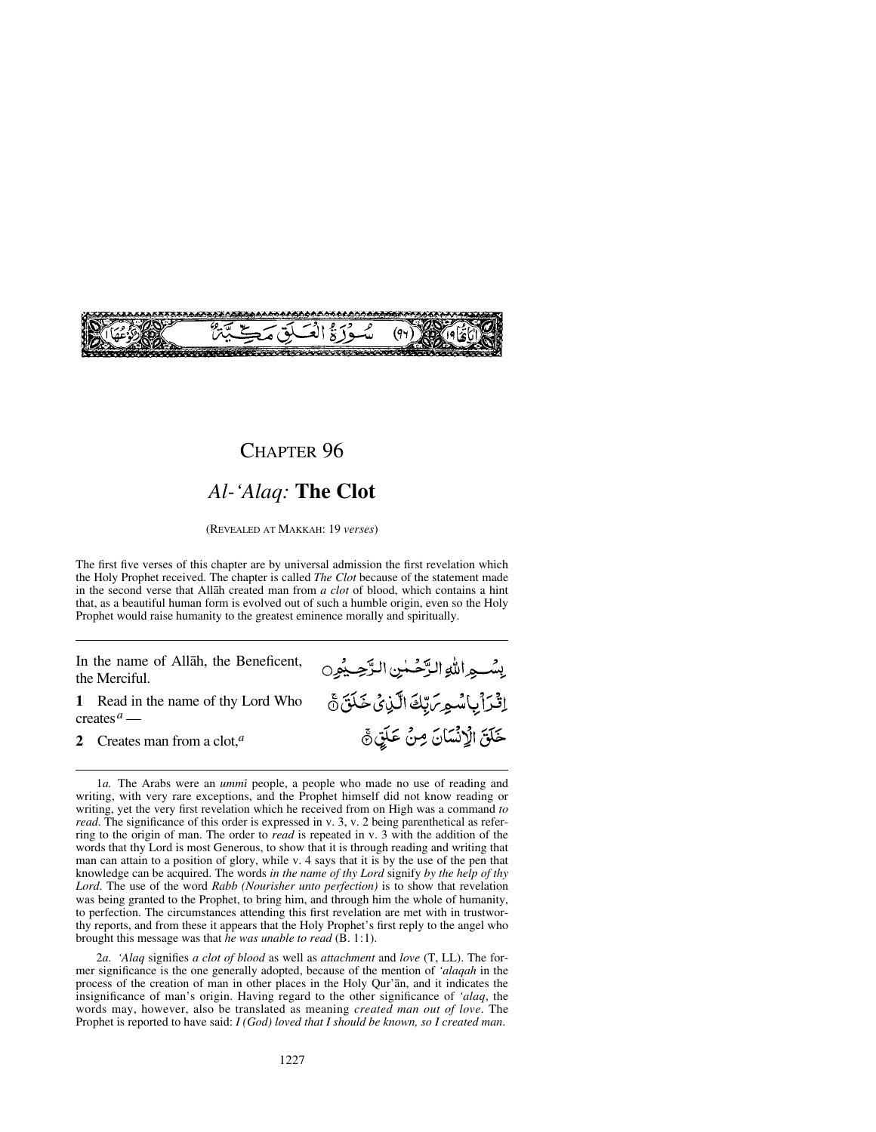

#### *Al-'Alaq:* **The Clot**

(REVEALED AT MAKKAH: 19 *verses*)

The first five verses of this chapter are by universal admission the first revelation which the Holy Prophet received. The chapter is called *The Clot* because of the statement made in the second verse that Allåh created man from *a clot* of blood, which contains a hint that, as a beautiful human form is evolved out of such a humble origin, even so the Holy Prophet would raise humanity to the greatest eminence morally and spiritually.

يسْبِهِ اللَّهِ الرَّحْمٰنِ الرَّحِيمُون

إِثْرَاْيِاسُمِرَ، بِّكَ الَّذِيْ خَلَقَ ٥

خَلَقَ الْإِنْسَانَ مِنْ عَلَيْ ﴾

In the name of Allåh, the Beneficent, the Merciful.

**1** Read in the name of thy Lord Who creates*<sup>a</sup>* —

**2** Creates man from a clot,*<sup>a</sup>*

1*a*. The Arabs were an *ummi* people, a people who made no use of reading and writing, with very rare exceptions, and the Prophet himself did not know reading or writing, yet the very first revelation which he received from on High was a command *to read*. The significance of this order is expressed in v. 3, v. 2 being parenthetical as referring to the origin of man. The order to *read* is repeated in v. 3 with the addition of the words that thy Lord is most Generous, to show that it is through reading and writing that man can attain to a position of glory, while v. 4 says that it is by the use of the pen that knowledge can be acquired. The words *in the name of thy Lord* signify *by the help of thy Lord*. The use of the word *Rabb (Nourisher unto perfection)* is to show that revelation was being granted to the Prophet, to bring him, and through him the whole of humanity, to perfection. The circumstances attending this first revelation are met with in trustworthy reports, and from these it appears that the Holy Prophet's first reply to the angel who brought this message was that *he was unable to read* (B. 1:1).

2*a. 'Alaq* signifies *a clot of blood* as well as *attachment* and *love* (T, LL). The former significance is the one generally adopted, because of the mention of *'alaqah* in the process of the creation of man in other places in the Holy Qur'ån, and it indicates the insignificance of man's origin. Having regard to the other significance of *'alaq*, the words may, however, also be translated as meaning *created man out of love*. The Prophet is reported to have said: *I (God) loved that I should be known, so I created man*.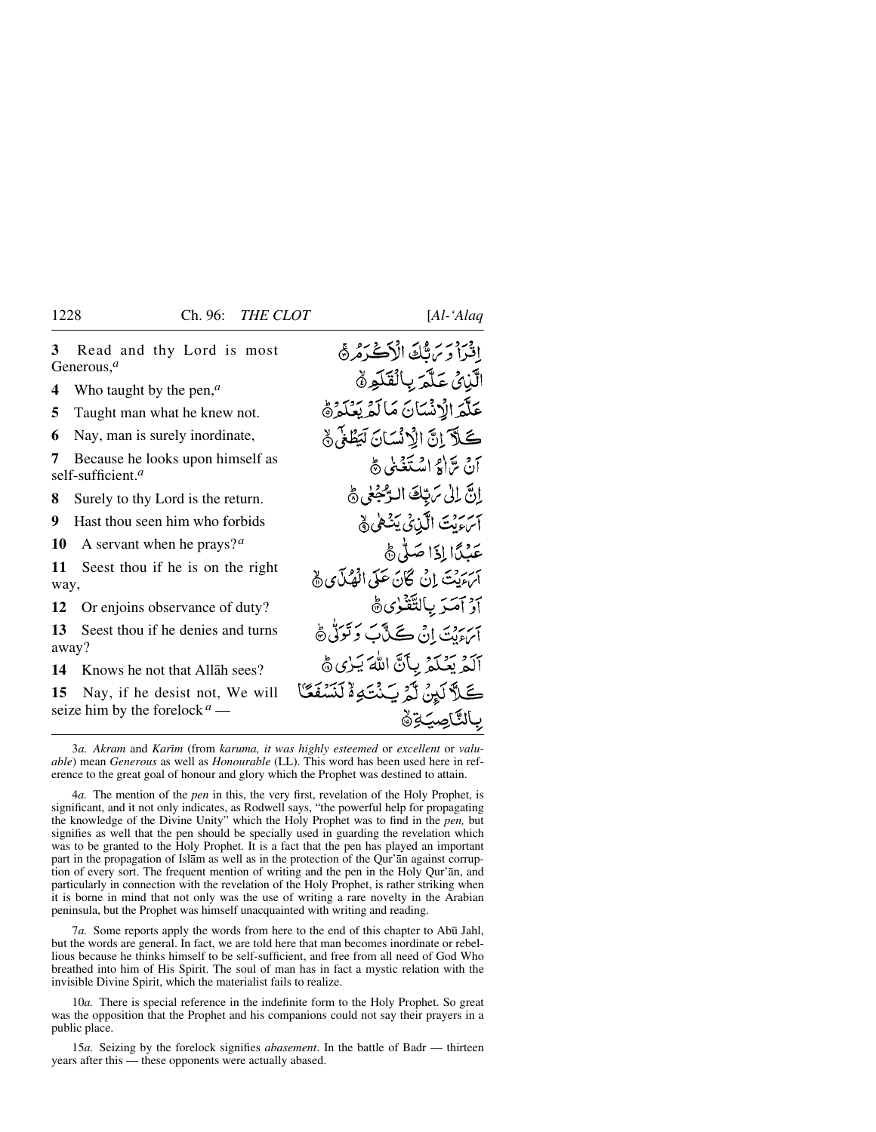افتراد بَرتَكَ الْأَكْتَدَهُرَهُ **3** Read and thy Lord is most Generous,*<sup>a</sup>* الآبائي عَلَّمَ بِالْقَلَوِنَ **4** Who taught by the pen,*<sup>a</sup>* عَلَّمَ الْإِنْسَانَ مَالَّهُ بَعُكُمْ هُ **5** Taught man what he knew not. كَلاً إِنَّ الْأَنْسَانَ لَبَطْغَى ﴾ **6** Nay, man is surely inordinate, **7** Because he looks upon himself as أنَّ يَرَاكِرُ اسْتَغْنِي هَي self-sufficient.*<sup>a</sup>* إنَّ إِلَىٰ مَرِيَّكَ البَّحْفِيُّ هِي **8** Surely to thy Lord is the return. آسءَيْتَ الَّذِينَى يَتْهَىٰ ﴾ **9** Hast thou seen him who forbids **10** A servant when he prays?*<sup>a</sup>* عَبْدًا إِذَا صَلَّى هَ **11** Seest thou if he is on the right سررت إِنْ كَانَ عَلَى الْهُلَّايِ ﴾ way, أدْ آمَيْرَ بِالتَّقْنُوٰيِّ ثَ **12** Or enjoins observance of duty? اپر دوسے اِنْ ڪَٽَابَ وَ تَوَلَّيْ ﴾ **13** Seest thou if he denies and turns away? أَلَمۡ بَعۡكُمۡ بِأَنَّ اللَّهَ يَـٰزِي ﴾ **14** Knows he not that Allåh sees? كَلاَّ لَيْنُ لَّهُ سَنْتَهِ ۄٌ لَنَسْفَعَّا **15** Nay, if he desist not, We will seize him by the forelock *<sup>a</sup>* — بالتاصية

3*a. Akram* and *Karim* (from *karuma, it was highly esteemed* or *excellent* or *valuable*) mean *Generous* as well as *Honourable* (LL). This word has been used here in reference to the great goal of honour and glory which the Prophet was destined to attain.

4*a.* The mention of the *pen* in this, the very first, revelation of the Holy Prophet, is significant, and it not only indicates, as Rodwell says, "the powerful help for propagating the knowledge of the Divine Unity" which the Holy Prophet was to find in the *pen,* but signifies as well that the pen should be specially used in guarding the revelation which was to be granted to the Holy Prophet. It is a fact that the pen has played an important part in the propagation of Islåm as well as in the protection of the Qur'ån against corruption of every sort. The frequent mention of writing and the pen in the Holy Qur'ån, and particularly in connection with the revelation of the Holy Prophet, is rather striking when it is borne in mind that not only was the use of writing a rare novelty in the Arabian peninsula, but the Prophet was himself unacquainted with writing and reading.

7*a*. Some reports apply the words from here to the end of this chapter to Abū Jahl, but the words are general. In fact, we are told here that man becomes inordinate or rebellious because he thinks himself to be self-sufficient, and free from all need of God Who breathed into him of His Spirit. The soul of man has in fact a mystic relation with the invisible Divine Spirit, which the materialist fails to realize.

10*a.* There is special reference in the indefinite form to the Holy Prophet. So great was the opposition that the Prophet and his companions could not say their prayers in a public place.

15*a.* Seizing by the forelock signifies *abasement*. In the battle of Badr — thirteen years after this — these opponents were actually abased.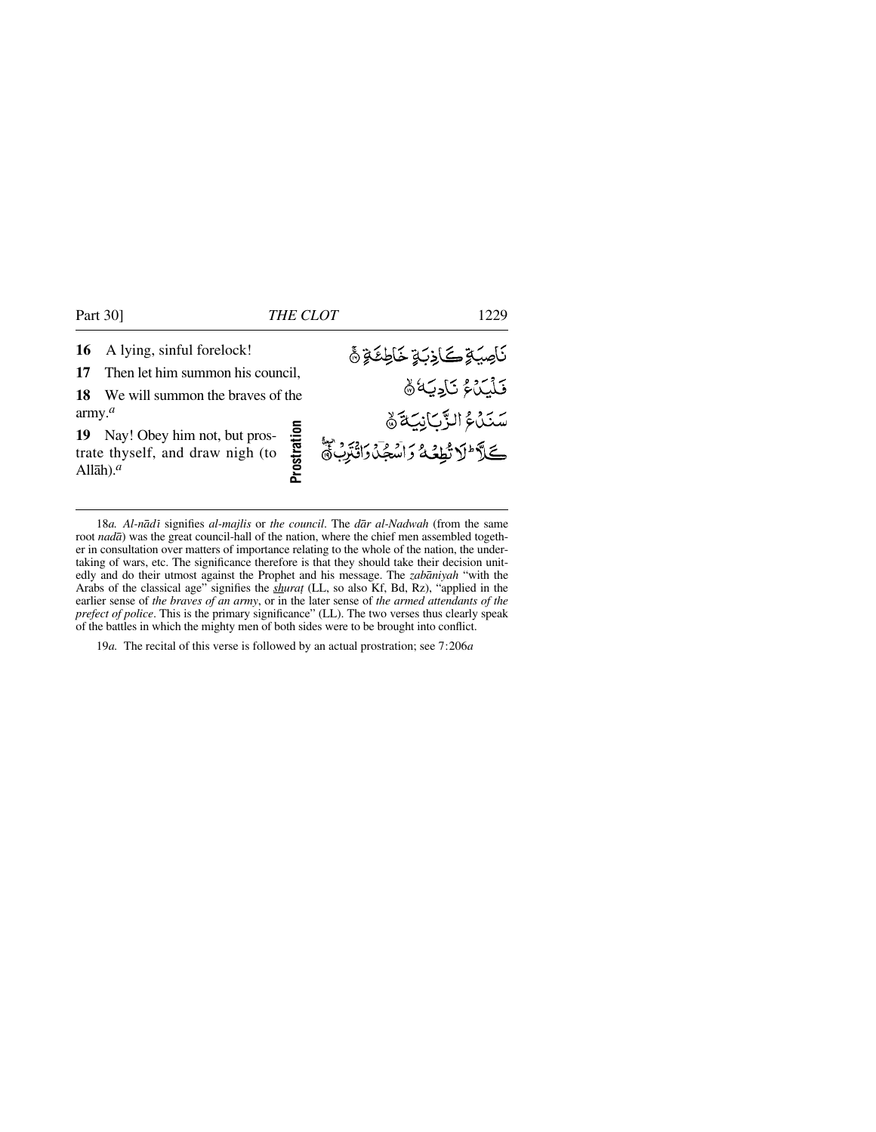**17** Then let him summon his council,

**18** We will summon the braves of the army.*<sup>a</sup>*

**19** Nay! Obey him not, but prostrate thyself, and draw nigh (to Allåh).*<sup>a</sup>*

*ۮؘ*ٳؘڝۘؽٷۭ**ڪ**ؘٳۮؚڹۊ۪ڂٳڟۣػ؋ۣ۞ فَلَيَدَهُ ثَادِيَهُ ﴾

18*a. Al-nādī* signifies *al-majlis* or *the council*. The *dār al-Nadwah* (from the same root *nadā*) was the great council-hall of the nation, where the chief men assembled together in consultation over matters of importance relating to the whole of the nation, the undertaking of wars, etc. The significance therefore is that they should take their decision unitedly and do their utmost against the Prophet and his message. The *zabåniyah* "with the Arabs of the classical age" signifies the *shurat* (LL, so also Kf, Bd, Rz), "applied in the earlier sense of *the braves of an army*, or in the later sense of *the armed attendants of the prefect of police*. This is the primary significance" (LL). The two verses thus clearly speak of the battles in which the mighty men of both sides were to be brought into conflict. 19*a.* The recital of this verse is followed by an actual prostration; see The recital of the recital of the recital of the recital properties.<br>The recitation over matters of importance relating to the column of the ratio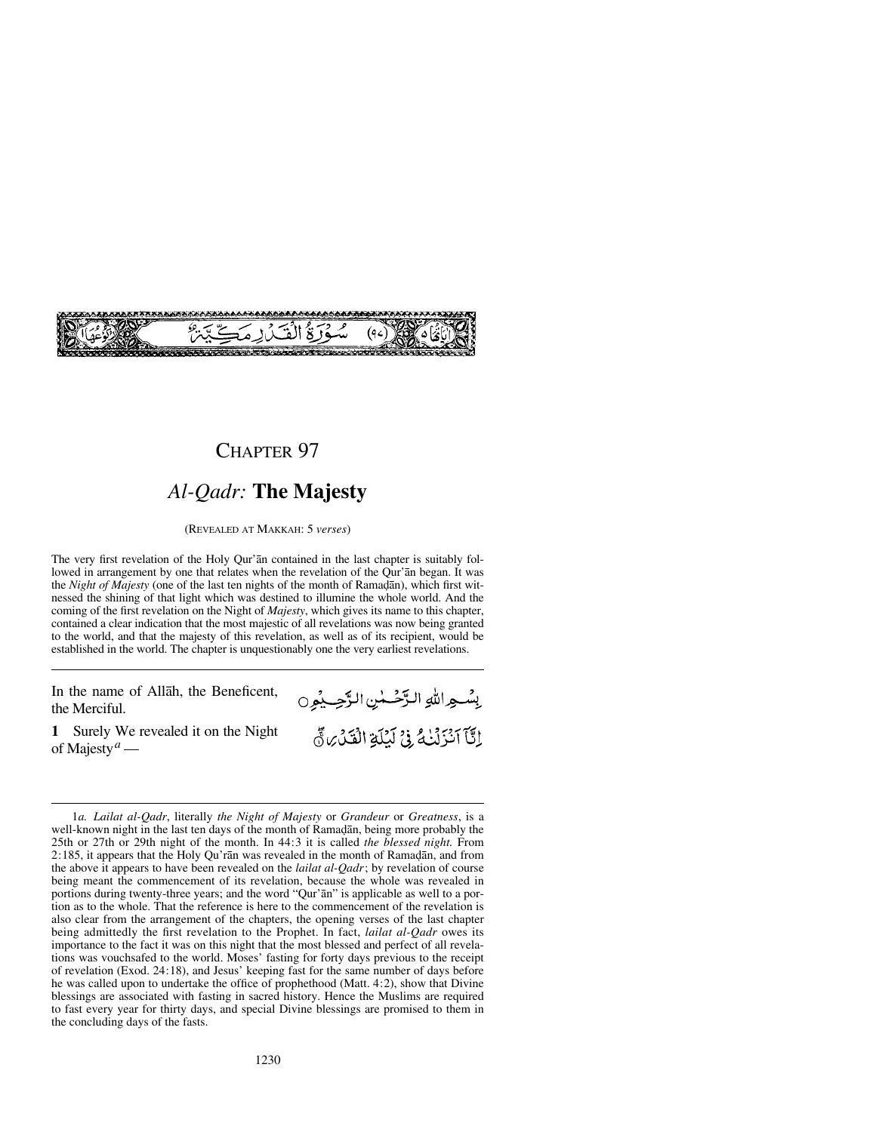

## *Al-Qadr:* **The Majesty**

(REVEALED AT MAKKAH: 5 *verses*)

The very first revelation of the Holy Qur'ån contained in the last chapter is suitably followed in arrangement by one that relates when the revelation of the Qur'ån began. It was the *Night of Majesty* (one of the last ten nights of the month of Ramadan), which first witnessed the shining of that light which was destined to illumine the whole world. And the coming of the first revelation on the Night of *Majesty*, which gives its name to this chapter, contained a clear indication that the most majestic of all revelations was now being granted to the world, and that the majesty of this revelation, as well as of its recipient, would be established in the world. The chapter is unquestionably one the very earliest revelations.

In the name of Allåh, the Beneficent, the Merciful.

**1** Surely We revealed it on the Night of Majesty*<sup>a</sup>* —

بِسْعِ اللهِ الرَّحْسٰنِ الرَّحِيْمِِ0 إِنَّا آَنْزَلْنَكُ فِيْ لَيُلَةِ الْقَدْرِةِ ثَيْ

1*a. Lailat al-Qadr*, literally *the Night of Majesty* or *Grandeur* or *Greatness*, is a well-known night in the last ten days of the month of Ramadan, being more probably the 25th or 27th or 29th night of the month. In 44:3 it is called *the blessed night.* From  $2:185$ , it appears that the Holy Qu'rān was revealed in the month of Ramadān, and from the above it appears to have been revealed on the *lailat al-Qadr*; by revelation of course being meant the commencement of its revelation, because the whole was revealed in portions during twenty-three years; and the word "Qur'ån" is applicable as well to a portion as to the whole. That the reference is here to the commencement of the revelation is also clear from the arrangement of the chapters, the opening verses of the last chapter being admittedly the first revelation to the Prophet. In fact, *lailat al-Qadr* owes its importance to the fact it was on this night that the most blessed and perfect of all revelations was vouchsafed to the world. Moses' fasting for forty days previous to the receipt of revelation (Exod. 24:18), and Jesus' keeping fast for the same number of days before he was called upon to undertake the office of prophethood (Matt. 4:2), show that Divine blessings are associated with fasting in sacred history. Hence the Muslims are required to fast every year for thirty days, and special Divine blessings are promised to them in the concluding days of the fasts.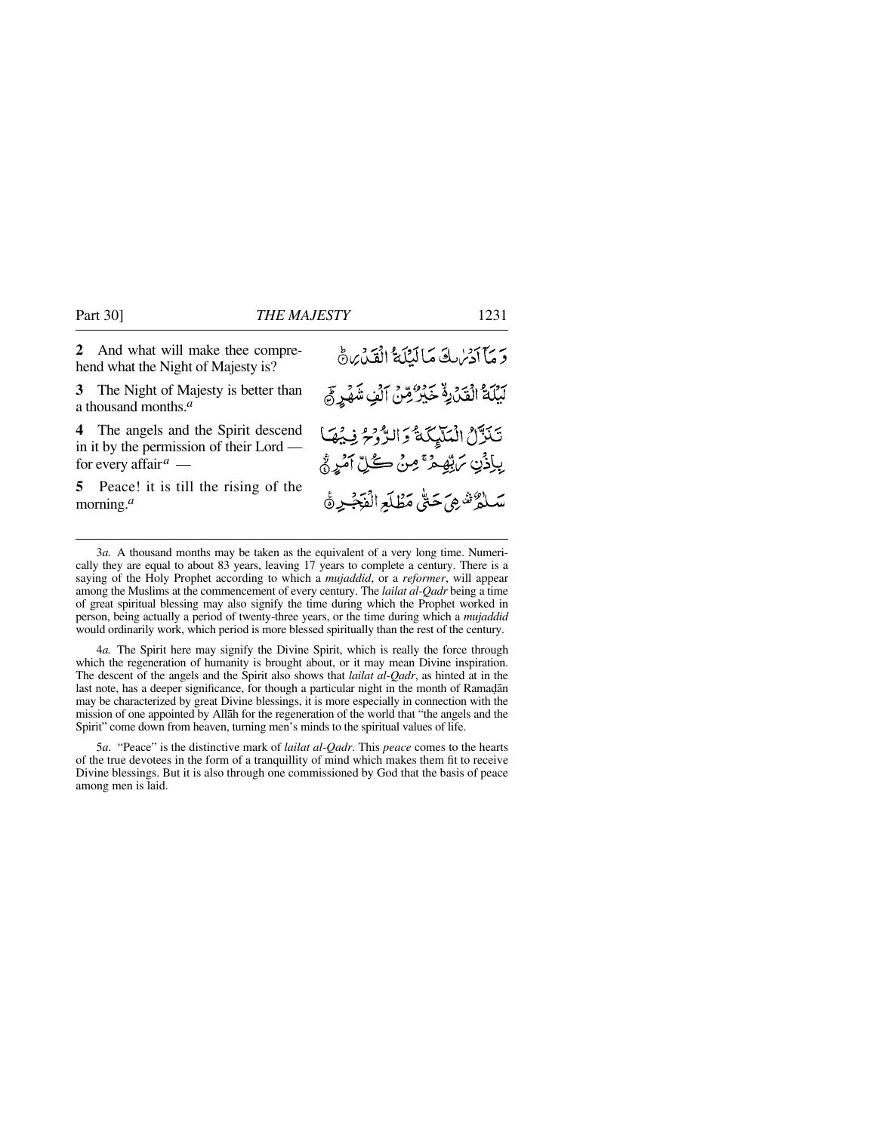**2** And what will make thee comprehend what the Night of Majesty is?

**3** The Night of Majesty is better than a thousand months.*<sup>a</sup>*

**4** The angels and the Spirit descend in it by the permission of their Lord for every affair*<sup>a</sup>* —

**5** Peace! it is till the rising of the morning.*<sup>a</sup>*

4*a.* The Spirit here may signify the Divine Spirit, which is really the force through which the regeneration of humanity is brought about, or it may mean Divine inspiration. The descent of the angels and the Spirit also shows that *lailat al-Qadr*, as hinted at in the last note, has a deeper significance, for though a particular night in the month of Ramadan may be characterized by great Divine blessings, it is more especially in connection with the mission of one appointed by Allåh for the regeneration of the world that "the angels and the Spirit" come down from heaven, turning men's minds to the spiritual values of life.

5*a.* "Peace" is the distinctive mark of *lailat al-Qadr*. This *peace* comes to the hearts of the true devotees in the form of a tranquillity of mind which makes them fit to receive Divine blessings. But it is also through one commissioned by God that the basis of peace among men is laid.

وَمَا آدَمُ لَكَ مَا لَيْلَةٌ الْقَدْرِةَ بَيْلَةُ الْقَدْرِةُ خَيْرٌ مِّنْ الَّفِ شَهْرٍ فِي تَنَزَّلُ الْمَلَّيِكَةُ وَالرُّوْحُ فِيُهَا بِإِذْنِ يَرَبِّهِمْ ۚ مِنْ كُلِّ آَمَرٍ ثُمَّ سَلْمُرٌ شَهِيَ حَتَّىٰ مَظْلَعِ الْفَجْيِرِ ثَ

<sup>3</sup>*a.* A thousand months may be taken as the equivalent of a very long time. Numerically they are equal to about 83 years, leaving 17 years to complete a century. There is a saying of the Holy Prophet according to which a *mujaddid*, or a *reformer*, will appear among the Muslims at the commencement of every century. The *lailat al-Qadr* being a time of great spiritual blessing may also signify the time during which the Prophet worked in person, being actually a period of twenty-three years, or the time during which a *mujaddid* would ordinarily work, which period is more blessed spiritually than the rest of the century.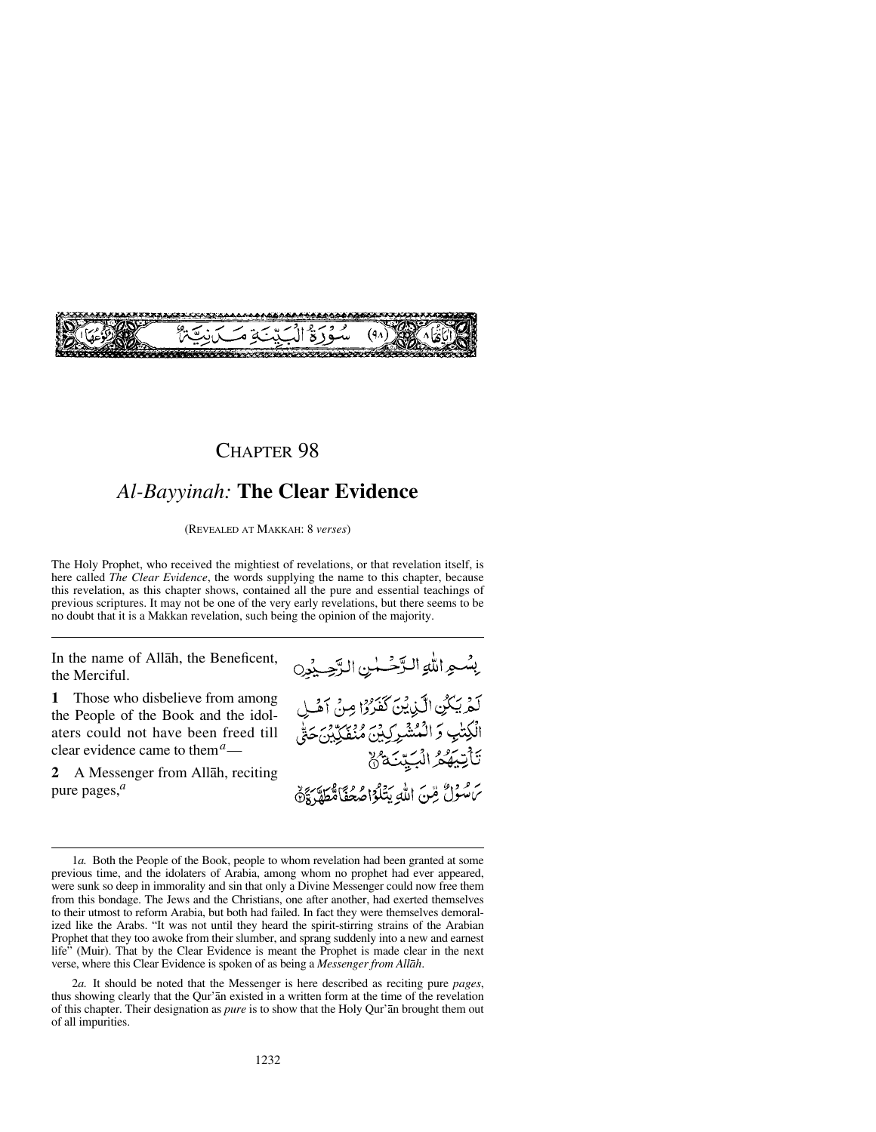

## *Al-Bayyinah:* **The Clear Evidence**

(REVEALED AT MAKKAH: 8 *verses*)

The Holy Prophet, who received the mightiest of revelations, or that revelation itself, is here called *The Clear Evidence*, the words supplying the name to this chapter, because this revelation, as this chapter shows, contained all the pure and essential teachings of previous scriptures. It may not be one of the very early revelations, but there seems to be no doubt that it is a Makkan revelation, such being the opinion of the majority.

In the name of Allåh, the Beneficent, the Merciful.

**1** Those who disbelieve from among the People of the Book and the idolaters could not have been freed till clear evidence came to them*a*—

**2** A Messenger from Allåh, reciting pure pages,*<sup>a</sup>*



<sup>1</sup>*a.* Both the People of the Book, people to whom revelation had been granted at some previous time, and the idolaters of Arabia, among whom no prophet had ever appeared, were sunk so deep in immorality and sin that only a Divine Messenger could now free them from this bondage. The Jews and the Christians, one after another, had exerted themselves to their utmost to reform Arabia, but both had failed. In fact they were themselves demoralized like the Arabs. "It was not until they heard the spirit-stirring strains of the Arabian Prophet that they too awoke from their slumber, and sprang suddenly into a new and earnest life" (Muir). That by the Clear Evidence is meant the Prophet is made clear in the next verse, where this Clear Evidence is spoken of as being a *Messenger from Allåh*.

2*a.* It should be noted that the Messenger is here described as reciting pure *pages*, thus showing clearly that the Qur'ån existed in a written form at the time of the revelation of this chapter. Their designation as *pure* is to show that the Holy Qur'ån brought them out of all impurities.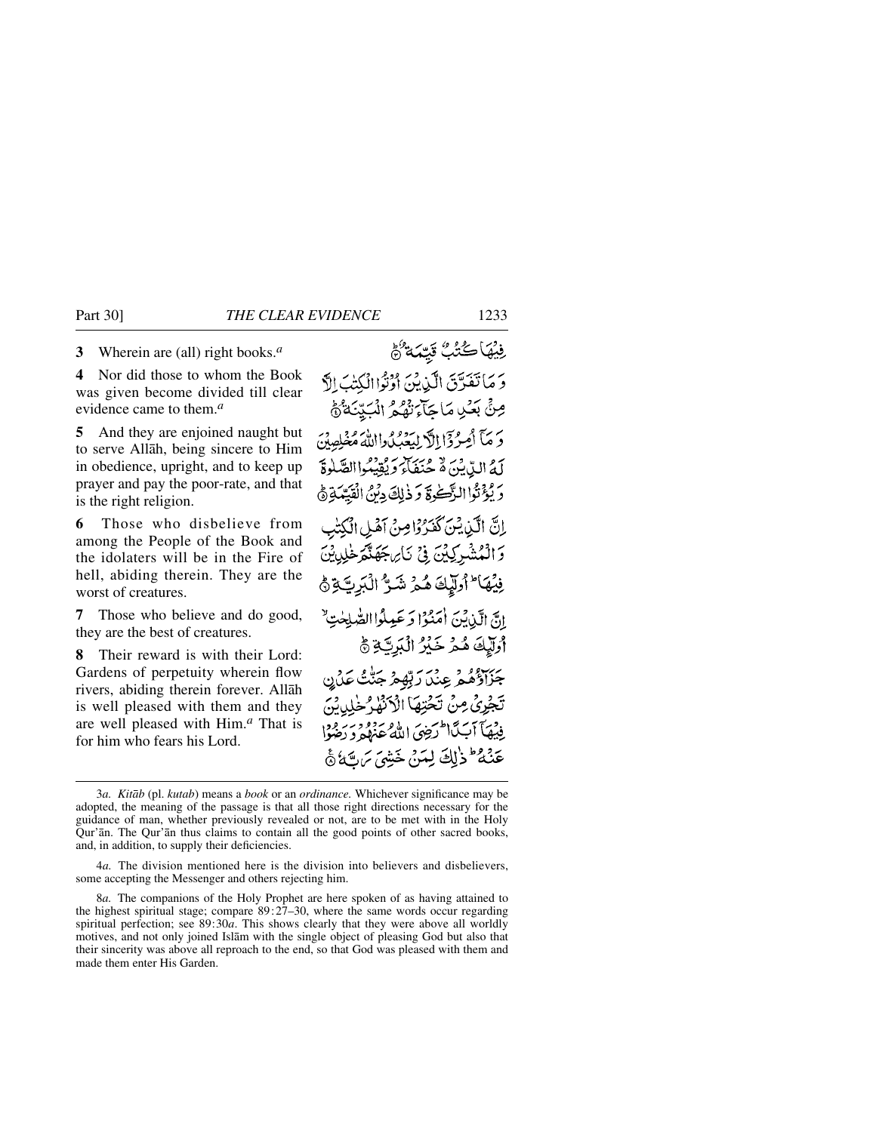**3** Wherein are (all) right books.*<sup>a</sup>*

**4** Nor did those to whom the Book was given become divided till clear evidence came to them.*<sup>a</sup>*

**5** And they are enjoined naught but to serve Allåh, being sincere to Him in obedience, upright, and to keep up prayer and pay the poor-rate, and that is the right religion.

**6** Those who disbelieve from among the People of the Book and the idolaters will be in the Fire of hell, abiding therein. They are the worst of creatures.

**7** Those who believe and do good, they are the best of creatures.

**8** Their reward is with their Lord: Gardens of perpetuity wherein flow rivers, abiding therein forever. Allåh is well pleased with them and they are well pleased with Him.*<sup>a</sup>* That is for him who fears his Lord.

فِيْهَاكُتُبُّ قَيِّمَةٌ هُمْ وَ مَا تَفَرَّقَ الَّذِيْنَ أَوْتُوْا الْكِتْ الَّ صِنٍّ بَعْيَا مَا حَآءَ نَهْدُ الْمَتِيَنَةُ هُمُّ حَرْمَ أَصِرْدَا إِلَّا لِيَعْبُدُوااللَّهُ مُخْلِصِينَ لَهُ الدِّينَ هُ حُنَفَاءَ وَيُقَيِّبُواالصَّلَوةَ دَ يُؤْتُوا الرَّكْرُ وَذَٰ لِكَ دِيْنُ الْقَيِّدَ إِنَّ الَّذِيْنَ كَفَدُوْامِنْ آَهُلِ الْكَ وَالْمُشْرِكِيْنَ فِي نَارِ جَهَنَّهَ خَلِيثِينَ فِيْهَا ۖ أُولِّيْكَ هُمْ شَنٌِّ ٱلْبَرِبَّةِ ﴾ انَّ الَّذِينَ أُمَنُوْا وَعَبِيلُواالصَّلِحْتِ ۖ أُولَيْكَ هُمْ خَيْرُ الْبَرِيَّةِ ﴾ جَزَاؤُهُمْ عِنْدَ رَبِّهِمْ جَنُّتُ عَدْن تَجْرِيُ مِنْ تَخْتِهَاْ الْأَنْفَاءُ فِيْهَآ أَبَ ٱلْمَرْضَىٰ اللَّهُ عَذْلُهُ وَ دَ عَنَّهُ ۖ وَٰ لَكَ لِمَهَ مِ خَشِيَ يَ سَهَةُ ا

<sup>3</sup>*a. Kitåb* (pl. *kutab*) means a *book* or an *ordinance.* Whichever significance may be adopted, the meaning of the passage is that all those right directions necessary for the guidance of man, whether previously revealed or not, are to be met with in the Holy Qur'ån. The Qur'ån thus claims to contain all the good points of other sacred books, and, in addition, to supply their deficiencies.

<sup>4</sup>*a.* The division mentioned here is the division into believers and disbelievers, some accepting the Messenger and others rejecting him.

<sup>8</sup>*a.* The companions of the Holy Prophet are here spoken of as having attained to the highest spiritual stage; compare 89:27–30, where the same words occur regarding spiritual perfection; see 89:30*a*. This shows clearly that they were above all worldly motives, and not only joined Islåm with the single object of pleasing God but also that their sincerity was above all reproach to the end, so that God was pleased with them and made them enter His Garden.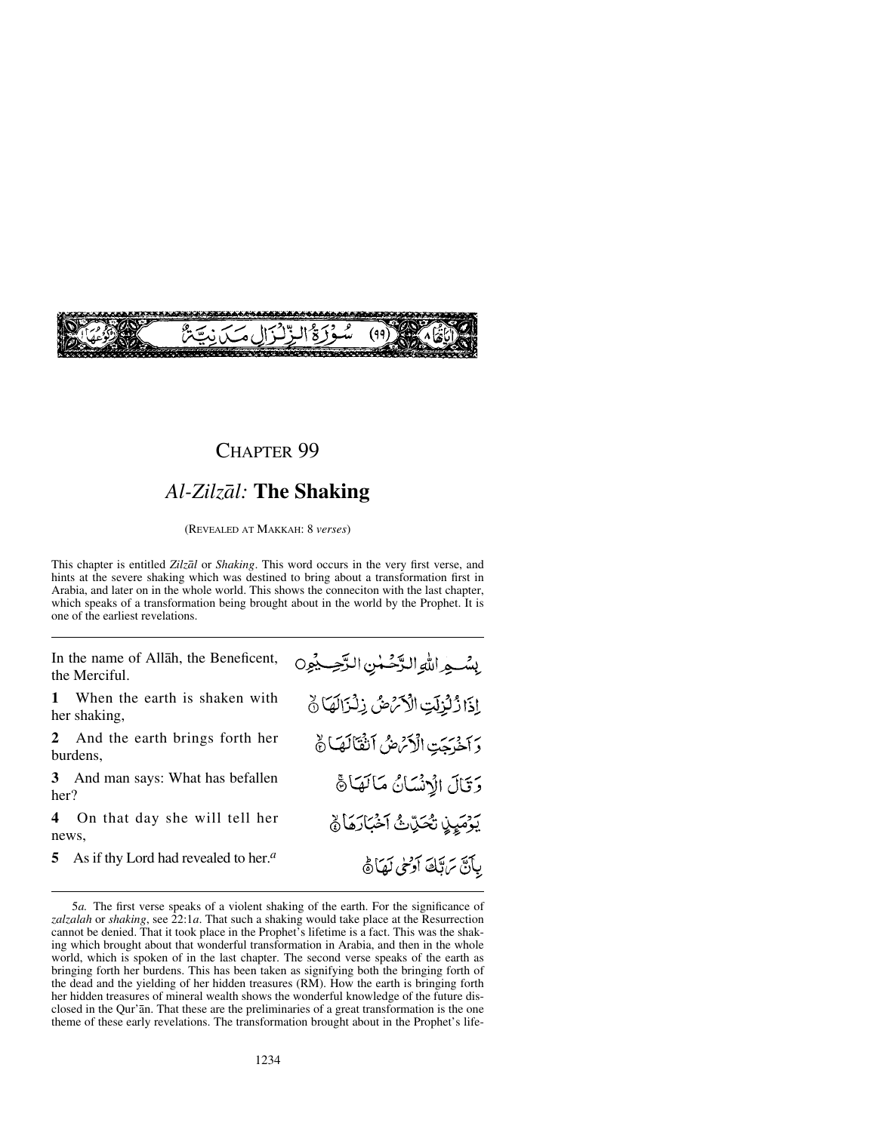

# *Al-Zilzål:* **The Shaking**

(REVEALED AT MAKKAH: 8 *verses*)

This chapter is entitled *Zilzål* or *Shaking*. This word occurs in the very first verse, and hints at the severe shaking which was destined to bring about a transformation first in Arabia, and later on in the whole world. This shows the conneciton with the last chapter, which speaks of a transformation being brought about in the world by the Prophet. It is one of the earliest revelations.

In the name of Allåh, the Beneficent, the Merciful.

**1** When the earth is shaken with her shaking,

**2** And the earth brings forth her burdens,

**3** And man says: What has befallen her?

**4** On that day she will tell her news,

**5** As if thy Lord had revealed to her.*<sup>a</sup>*

بِسْبِهِ اللَّهِ الدَّحْسُنِ الرَّحِسِيْوِنِ إِذَا ذُلُّزِلَتِ الْأَنْهُضُ ذِلْزَالَهَا نَ وَ اخْرَجَتِ الْأَمَّاضُ الثَّقَالَهَا نَّ وَقَالَ الْإِنْسَانُ مَالَهَا فَيْ يَوْمَيِنِ تَحَدِّثَ أَخْبَارَهَا ﴾ بِآنَ تَرَبَّكَ آرَسِي لَهَاَهُ

<sup>5</sup>*a.* The first verse speaks of a violent shaking of the earth. For the significance of *zalzalah* or *shaking*, see 22:1*a*. That such a shaking would take place at the Resurrection cannot be denied. That it took place in the Prophet's lifetime is a fact. This was the shaking which brought about that wonderful transformation in Arabia, and then in the whole world, which is spoken of in the last chapter. The second verse speaks of the earth as bringing forth her burdens. This has been taken as signifying both the bringing forth of the dead and the yielding of her hidden treasures (RM). How the earth is bringing forth her hidden treasures of mineral wealth shows the wonderful knowledge of the future disclosed in the Qur'ån. That these are the preliminaries of a great transformation is the one theme of these early revelations. The transformation brought about in the Prophet's life-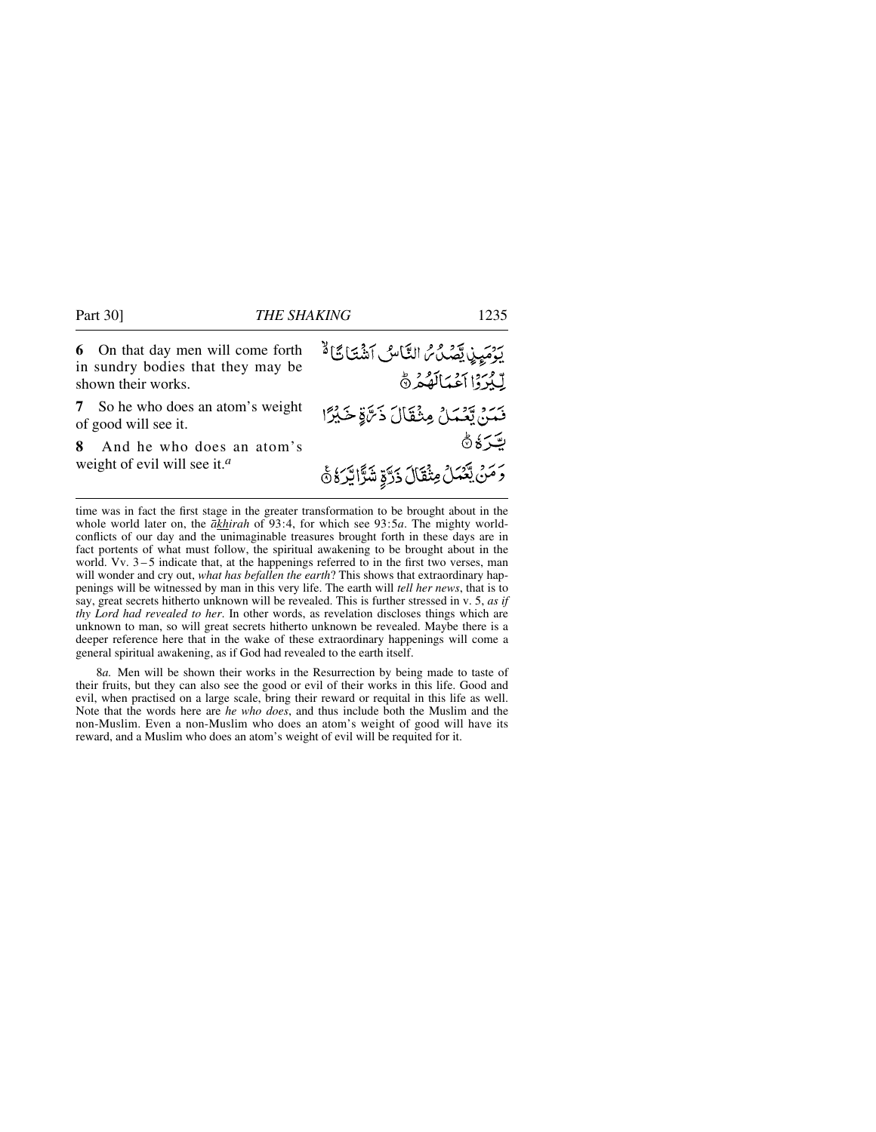**6** On that day men will come forth يَوْمَيِيْ يَّصُدُّ التَّاسُ اَشْتَاتًا قَّا in sundry bodies that they may be لِّيُرَدُا أَعْمَالَهُمْ ٥ shown their works. **7** So he who does an atom's weight رَنْ يَّعْمَلُ مِثْقَالَ ذَرَّةٍ خَيْرًا of good will see it. ٿر ڏڻ **8** And he who does an atom's weight of evil will see it.*<sup>a</sup>* وَمَنْ يَّعۡمَٰلۡ مِثۡقَالَ ذَرَّةٍ شَرَّا يَّرَهُۚ هَۢ

time was in fact the first stage in the greater transformation to be brought about in the whole world later on, the *åkhirah* of 93:4, for which see 93:5*a*. The mighty worldconflicts of our day and the unimaginable treasures brought forth in these days are in fact portents of what must follow, the spiritual awakening to be brought about in the world. Vv.  $3-5$  indicate that, at the happenings referred to in the first two verses, man will wonder and cry out, *what has befallen the earth*? This shows that extraordinary happenings will be witnessed by man in this very life. The earth will *tell her news*, that is to say, great secrets hitherto unknown will be revealed. This is further stressed in v. 5, *as if thy Lord had revealed to her*. In other words, as revelation discloses things which are unknown to man, so will great secrets hitherto unknown be revealed. Maybe there is a deeper reference here that in the wake of these extraordinary happenings will come a general spiritual awakening, as if God had revealed to the earth itself.

8*a.* Men will be shown their works in the Resurrection by being made to taste of their fruits, but they can also see the good or evil of their works in this life. Good and evil, when practised on a large scale, bring their reward or requital in this life as well. Note that the words here are *he who does*, and thus include both the Muslim and the non-Muslim. Even a non-Muslim who does an atom's weight of good will have its reward, and a Muslim who does an atom's weight of evil will be requited for it.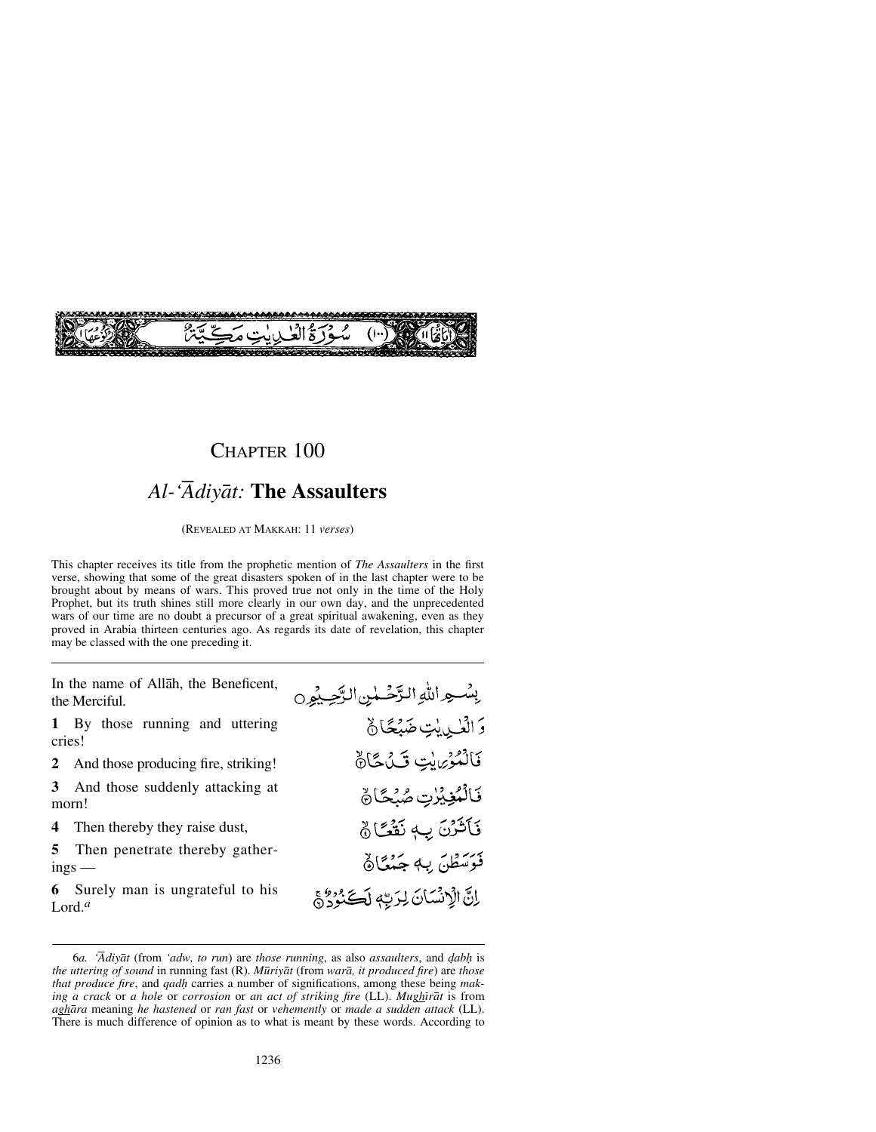

## *Al-'Ådiyåt:* **The Assaulters**

(REVEALED AT MAKKAH: 11 *verses*)

This chapter receives its title from the prophetic mention of *The Assaulters* in the first verse, showing that some of the great disasters spoken of in the last chapter were to be brought about by means of wars. This proved true not only in the time of the Holy Prophet, but its truth shines still more clearly in our own day, and the unprecedented wars of our time are no doubt a precursor of a great spiritual awakening, even as they proved in Arabia thirteen centuries ago. As regards its date of revelation, this chapter may be classed with the one preceding it.

In the name of Allåh, the Beneficent, the Merciful.

**1** By those running and uttering cries!

**2** And those producing fire, striking!

**3** And those suddenly attacking at morn!

**4** Then thereby they raise dust,

**5** Then penetrate thereby gatherings —

**6** Surely man is ungrateful to his Lord.*<sup>a</sup>*

بِسْهِ اللَّهِ الزَّحْسٰنِ الرَّحِيْمِِ 0 وَالْعُــٰىِيْتِ ضَبْعًانٌ فَالْمُؤْمِنِينِ تَلْكَانَ فَالْمُغِيْرٰتِ صُنْحًا فَأَثَرُنَ بِ لَفَقًا ﴾ فَوَسَطْنَ بِهِ جَنْعًا﴾ إِنَّ الْإِنْسَانَ لِرَبِّهِ لَكَ بِرُدِّي

<sup>6</sup>*a. 'Ådiyåt* (from *'adw, to run*) are *those running*, as also *assaulters*, and *˙ab√* is *the uttering of sound* in running fast (R). *M∂riyåt* (from *warå, it produced fire*) are *those that produce fire, and gadh carries a number of significations, among these being making a crack* or *a hole* or *corrosion* or *an act of striking fire* (LL). *Mughirat* is from *aghåra* meaning *he hastened* or *ran fast* or *vehemently* or *made a sudden attack* (LL). There is much difference of opinion as to what is meant by these words. According to